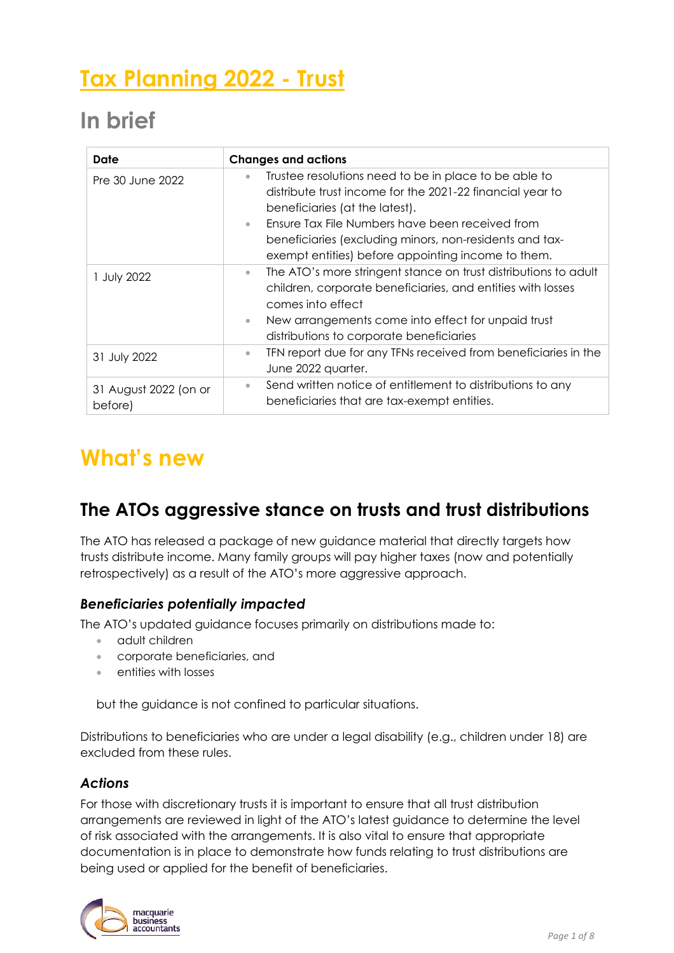# **Tax Planning 2022 - Trust**

# **In brief**

| Date                             | <b>Changes and actions</b>                                                                                                                                                                                                                                                      |
|----------------------------------|---------------------------------------------------------------------------------------------------------------------------------------------------------------------------------------------------------------------------------------------------------------------------------|
| Pre 30 June 2022                 | Trustee resolutions need to be in place to be able to<br>$\bullet$<br>distribute trust income for the 2021-22 financial year to<br>beneficiaries (at the latest).<br>Ensure Tax File Numbers have been received from<br>$\bullet$                                               |
|                                  | beneficiaries (excluding minors, non-residents and tax-<br>exempt entities) before appointing income to them.                                                                                                                                                                   |
| 1 July 2022                      | The ATO's more stringent stance on trust distributions to adult<br>$\bullet$<br>children, corporate beneficiaries, and entities with losses<br>comes into effect<br>New arrangements come into effect for unpaid trust<br>$\bullet$<br>distributions to corporate beneficiaries |
| 31 July 2022                     | TFN report due for any TFNs received from beneficiaries in the<br>$\bullet$<br>June 2022 quarter.                                                                                                                                                                               |
| 31 August 2022 (on or<br>before) | Send written notice of entitlement to distributions to any<br>$\bullet$<br>beneficiaries that are tax-exempt entities.                                                                                                                                                          |

## **What's new**

## **The ATOs aggressive stance on trusts and trust distributions**

The ATO has released a package of new guidance material that directly targets how trusts distribute income. Many family groups will pay higher taxes (now and potentially retrospectively) as a result of the ATO's more aggressive approach.

### *Beneficiaries potentially impacted*

The ATO's updated guidance focuses primarily on distributions made to:

- adult children
- corporate beneficiaries, and
- entities with losses

but the guidance is not confined to particular situations.

Distributions to beneficiaries who are under a legal disability (e.g., children under 18) are excluded from these rules.

### *Actions*

For those with discretionary trusts it is important to ensure that all trust distribution arrangements are reviewed in light of the ATO's latest guidance to determine the level of risk associated with the arrangements. It is also vital to ensure that appropriate documentation is in place to demonstrate how funds relating to trust distributions are being used or applied for the benefit of beneficiaries.

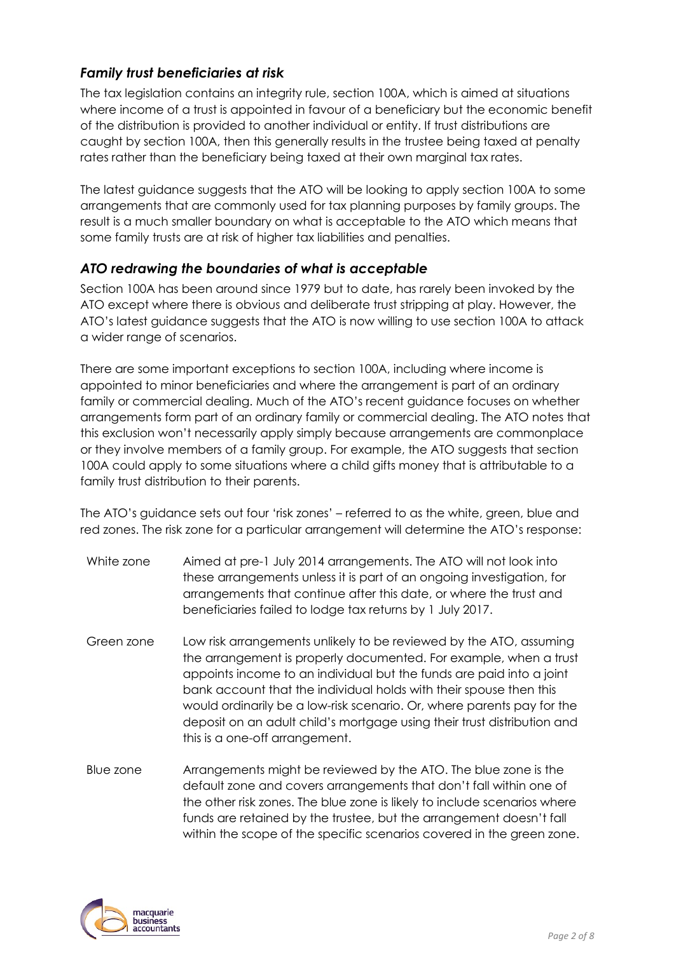### *Family trust beneficiaries at risk*

The tax legislation contains an integrity rule, section 100A, which is aimed at situations where income of a trust is appointed in favour of a beneficiary but the economic benefit of the distribution is provided to another individual or entity. If trust distributions are caught by section 100A, then this generally results in the trustee being taxed at penalty rates rather than the beneficiary being taxed at their own marginal tax rates.

The latest guidance suggests that the ATO will be looking to apply section 100A to some arrangements that are commonly used for tax planning purposes by family groups. The result is a much smaller boundary on what is acceptable to the ATO which means that some family trusts are at risk of higher tax liabilities and penalties.

#### *ATO redrawing the boundaries of what is acceptable*

Section 100A has been around since 1979 but to date, has rarely been invoked by the ATO except where there is obvious and deliberate trust stripping at play. However, the ATO's latest guidance suggests that the ATO is now willing to use section 100A to attack a wider range of scenarios.

There are some important exceptions to section 100A, including where income is appointed to minor beneficiaries and where the arrangement is part of an ordinary family or commercial dealing. Much of the ATO's recent guidance focuses on whether arrangements form part of an ordinary family or commercial dealing. The ATO notes that this exclusion won't necessarily apply simply because arrangements are commonplace or they involve members of a family group. For example, the ATO suggests that section 100A could apply to some situations where a child gifts money that is attributable to a family trust distribution to their parents.

The ATO's guidance sets out four 'risk zones' – referred to as the white, green, blue and red zones. The risk zone for a particular arrangement will determine the ATO's response:

- White zone Aimed at pre-1 July 2014 arrangements. The ATO will not look into these arrangements unless it is part of an ongoing investigation, for arrangements that continue after this date, or where the trust and beneficiaries failed to lodge tax returns by 1 July 2017.
- Green zone Low risk arrangements unlikely to be reviewed by the ATO, assuming the arrangement is properly documented. For example, when a trust appoints income to an individual but the funds are paid into a joint bank account that the individual holds with their spouse then this would ordinarily be a low-risk scenario. Or, where parents pay for the deposit on an adult child's mortgage using their trust distribution and this is a one-off arrangement.
- Blue zone Arrangements might be reviewed by the ATO. The blue zone is the default zone and covers arrangements that don't fall within one of the other risk zones. The blue zone is likely to include scenarios where funds are retained by the trustee, but the arrangement doesn't fall within the scope of the specific scenarios covered in the green zone.

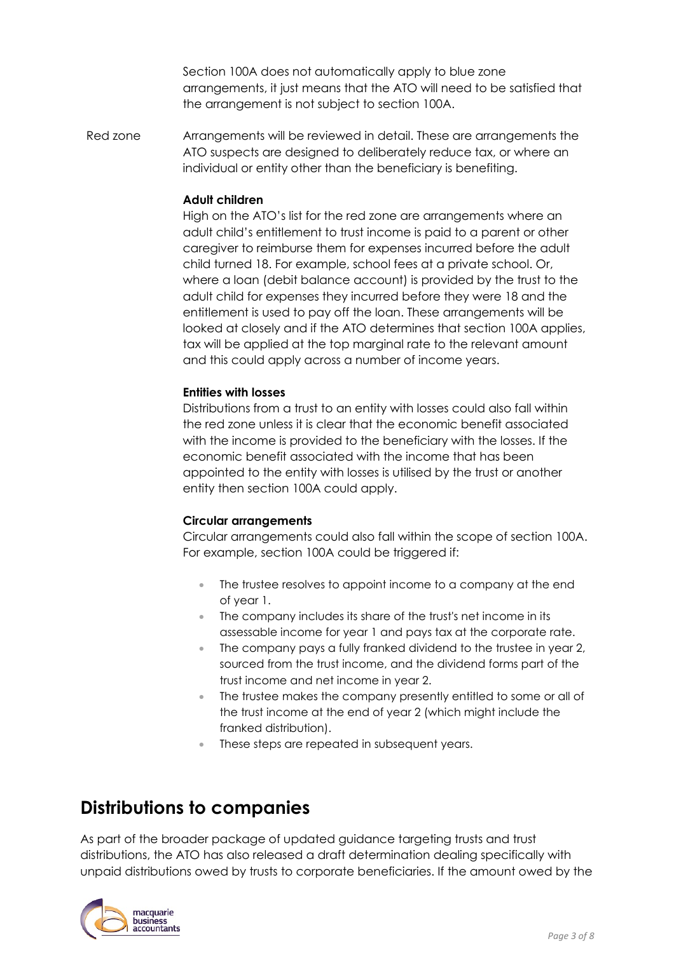Section 100A does not automatically apply to blue zone arrangements, it just means that the ATO will need to be satisfied that the arrangement is not subject to section 100A.

Red zone Arrangements will be reviewed in detail. These are arrangements the ATO suspects are designed to deliberately reduce tax, or where an individual or entity other than the beneficiary is benefiting.

#### **Adult children**

High on the ATO's list for the red zone are arrangements where an adult child's entitlement to trust income is paid to a parent or other caregiver to reimburse them for expenses incurred before the adult child turned 18. For example, school fees at a private school. Or, where a loan (debit balance account) is provided by the trust to the adult child for expenses they incurred before they were 18 and the entitlement is used to pay off the loan. These arrangements will be looked at closely and if the ATO determines that section 100A applies, tax will be applied at the top marginal rate to the relevant amount and this could apply across a number of income years.

#### **Entities with losses**

Distributions from a trust to an entity with losses could also fall within the red zone unless it is clear that the economic benefit associated with the income is provided to the beneficiary with the losses. If the economic benefit associated with the income that has been appointed to the entity with losses is utilised by the trust or another entity then section 100A could apply.

#### **Circular arrangements**

Circular arrangements could also fall within the scope of section 100A. For example, section 100A could be triggered if:

- The trustee resolves to appoint income to a company at the end of year 1.
- The company includes its share of the trust's net income in its assessable income for year 1 and pays tax at the corporate rate.
- The company pays a fully franked dividend to the trustee in year 2, sourced from the trust income, and the dividend forms part of the trust income and net income in year 2.
- The trustee makes the company presently entitled to some or all of the trust income at the end of year 2 (which might include the franked distribution).
- These steps are repeated in subsequent years.

### **Distributions to companies**

As part of the broader package of updated guidance targeting trusts and trust distributions, the ATO has also released a draft determination dealing specifically with unpaid distributions owed by trusts to corporate beneficiaries. If the amount owed by the

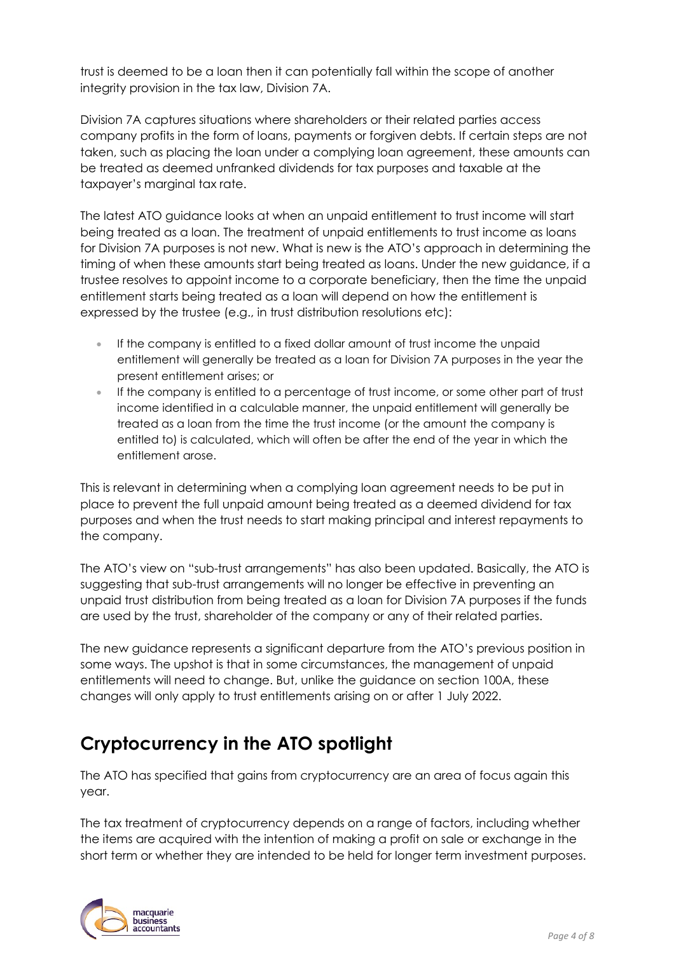trust is deemed to be a loan then it can potentially fall within the scope of another integrity provision in the tax law, Division 7A.

Division 7A captures situations where shareholders or their related parties access company profits in the form of loans, payments or forgiven debts. If certain steps are not taken, such as placing the loan under a complying loan agreement, these amounts can be treated as deemed unfranked dividends for tax purposes and taxable at the taxpayer's marginal tax rate.

The latest ATO guidance looks at when an unpaid entitlement to trust income will start being treated as a loan. The treatment of unpaid entitlements to trust income as loans for Division 7A purposes is not new. What is new is the ATO's approach in determining the timing of when these amounts start being treated as loans. Under the new guidance, if a trustee resolves to appoint income to a corporate beneficiary, then the time the unpaid entitlement starts being treated as a loan will depend on how the entitlement is expressed by the trustee (e.g., in trust distribution resolutions etc):

- If the company is entitled to a fixed dollar amount of trust income the unpaid entitlement will generally be treated as a loan for Division 7A purposes in the year the present entitlement arises; or
- If the company is entitled to a percentage of trust income, or some other part of trust income identified in a calculable manner, the unpaid entitlement will generally be treated as a loan from the time the trust income (or the amount the company is entitled to) is calculated, which will often be after the end of the year in which the entitlement arose.

This is relevant in determining when a complying loan agreement needs to be put in place to prevent the full unpaid amount being treated as a deemed dividend for tax purposes and when the trust needs to start making principal and interest repayments to the company.

The ATO's view on "sub-trust arrangements" has also been updated. Basically, the ATO is suggesting that sub-trust arrangements will no longer be effective in preventing an unpaid trust distribution from being treated as a loan for Division 7A purposes if the funds are used by the trust, shareholder of the company or any of their related parties.

The new guidance represents a significant departure from the ATO's previous position in some ways. The upshot is that in some circumstances, the management of unpaid entitlements will need to change. But, unlike the guidance on section 100A, these changes will only apply to trust entitlements arising on or after 1 July 2022.

## **Cryptocurrency in the ATO spotlight**

The ATO has specified that gains from cryptocurrency are an area of focus again this year.

The tax treatment of cryptocurrency depends on a range of factors, including whether the items are acquired with the intention of making a profit on sale or exchange in the short term or whether they are intended to be held for longer term investment purposes.

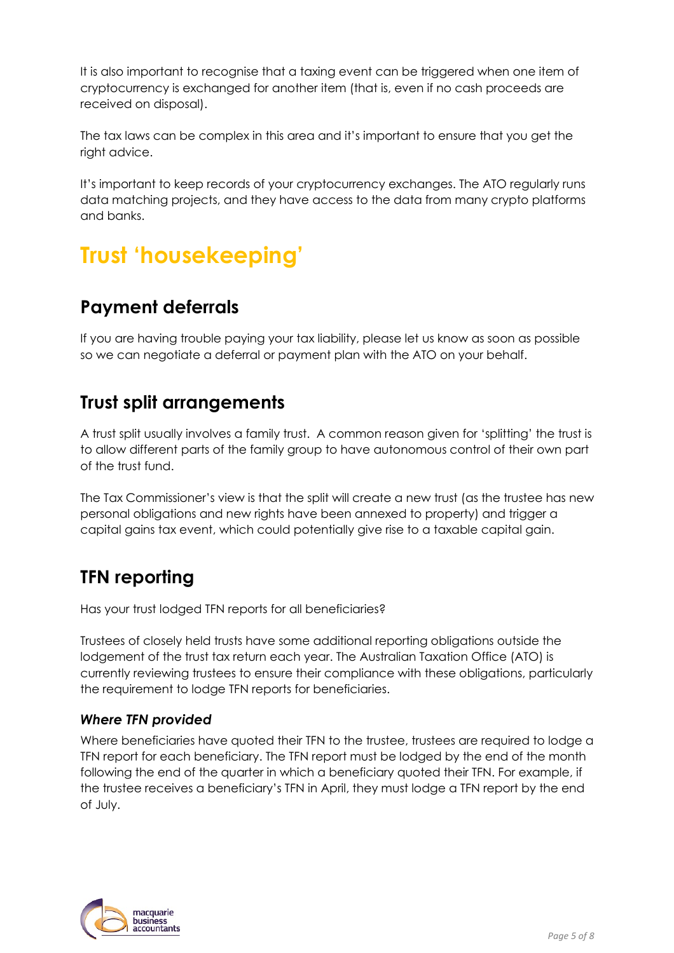It is also important to recognise that a taxing event can be triggered when one item of cryptocurrency is exchanged for another item (that is, even if no cash proceeds are received on disposal).

The tax laws can be complex in this area and it's important to ensure that you get the right advice.

It's important to keep records of your cryptocurrency exchanges. The ATO regularly runs data matching projects, and they have access to the data from many crypto platforms and banks.

# **Trust 'housekeeping'**

### **Payment deferrals**

If you are having trouble paying your tax liability, please let us know as soon as possible so we can negotiate a deferral or payment plan with the ATO on your behalf.

### **Trust split arrangements**

A trust split usually involves a family trust. A common reason given for 'splitting' the trust is to allow different parts of the family group to have autonomous control of their own part of the trust fund.

The Tax Commissioner's view is that the split will create a new trust (as the trustee has new personal obligations and new rights have been annexed to property) and trigger a capital gains tax event, which could potentially give rise to a taxable capital gain.

## **TFN reporting**

Has your trust lodged TFN reports for all beneficiaries?

Trustees of closely held trusts have some additional reporting obligations outside the lodgement of the trust tax return each year. The Australian Taxation Office (ATO) is currently reviewing trustees to ensure their compliance with these obligations, particularly the requirement to lodge TFN reports for beneficiaries.

### *Where TFN provided*

Where beneficiaries have quoted their TFN to the trustee, trustees are required to lodge a TFN report for each beneficiary. The TFN report must be lodged by the end of the month following the end of the quarter in which a beneficiary quoted their TFN. For example, if the trustee receives a beneficiary's TFN in April, they must lodge a TFN report by the end of July.

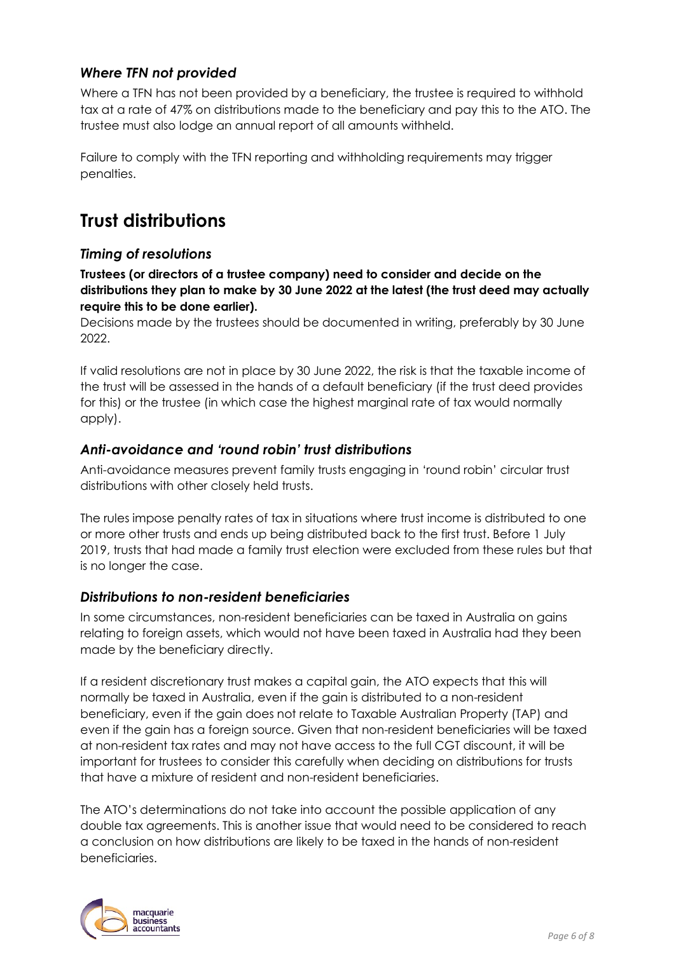### *Where TFN not provided*

Where a TFN has not been provided by a beneficiary, the trustee is required to withhold tax at a rate of 47% on distributions made to the beneficiary and pay this to the ATO. The trustee must also lodge an annual report of all amounts withheld.

Failure to comply with the TFN reporting and withholding requirements may trigger penalties.

### **Trust distributions**

### *Timing of resolutions*

**Trustees (or directors of a trustee company) need to consider and decide on the distributions they plan to make by 30 June 2022 at the latest (the trust deed may actually require this to be done earlier).**

Decisions made by the trustees should be documented in writing, preferably by 30 June 2022.

If valid resolutions are not in place by 30 June 2022, the risk is that the taxable income of the trust will be assessed in the hands of a default beneficiary (if the trust deed provides for this) or the trustee (in which case the highest marginal rate of tax would normally apply).

### *Anti-avoidance and 'round robin' trust distributions*

Anti-avoidance measures prevent family trusts engaging in 'round robin' circular trust distributions with other closely held trusts.

The rules impose penalty rates of tax in situations where trust income is distributed to one or more other trusts and ends up being distributed back to the first trust. Before 1 July 2019, trusts that had made a family trust election were excluded from these rules but that is no longer the case.

#### *Distributions to non-resident beneficiaries*

In some circumstances, non-resident beneficiaries can be taxed in Australia on gains relating to foreign assets, which would not have been taxed in Australia had they been made by the beneficiary directly.

If a resident discretionary trust makes a capital gain, the ATO expects that this will normally be taxed in Australia, even if the gain is distributed to a non-resident beneficiary, even if the gain does not relate to Taxable Australian Property (TAP) and even if the gain has a foreign source. Given that non-resident beneficiaries will be taxed at non-resident tax rates and may not have access to the full CGT discount, it will be important for trustees to consider this carefully when deciding on distributions for trusts that have a mixture of resident and non-resident beneficiaries.

The ATO's determinations do not take into account the possible application of any double tax agreements. This is another issue that would need to be considered to reach a conclusion on how distributions are likely to be taxed in the hands of non-resident beneficiaries.

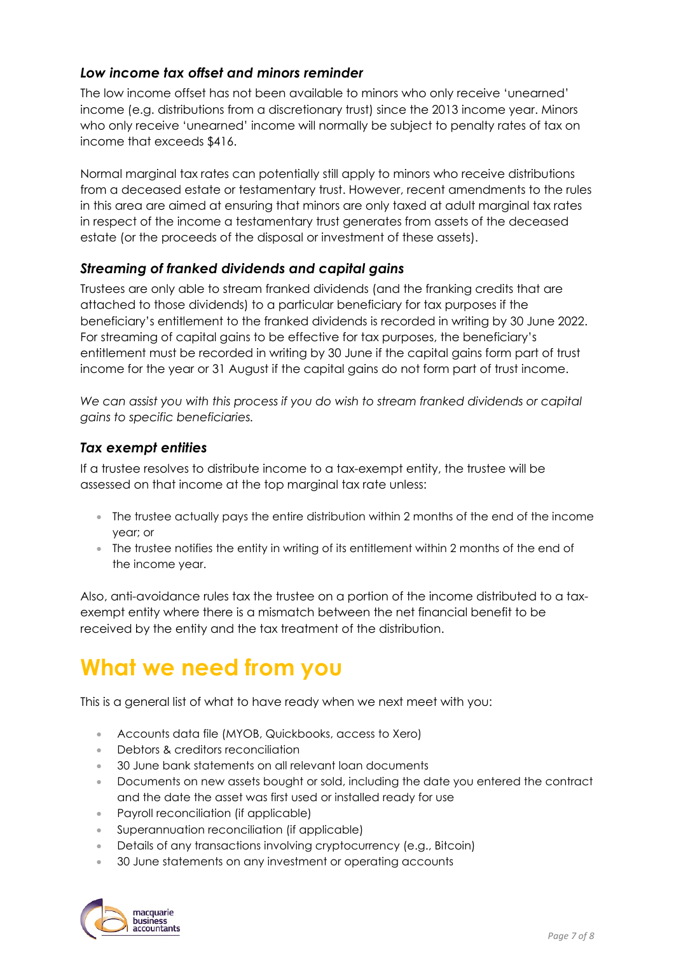### *Low income tax offset and minors reminder*

The low income offset has not been available to minors who only receive 'unearned' income (e.g. distributions from a discretionary trust) since the 2013 income year. Minors who only receive 'unearned' income will normally be subject to penalty rates of tax on income that exceeds \$416.

Normal marginal tax rates can potentially still apply to minors who receive distributions from a deceased estate or testamentary trust. However, recent amendments to the rules in this area are aimed at ensuring that minors are only taxed at adult marginal tax rates in respect of the income a testamentary trust generates from assets of the deceased estate (or the proceeds of the disposal or investment of these assets).

### *Streaming of franked dividends and capital gains*

Trustees are only able to stream franked dividends (and the franking credits that are attached to those dividends) to a particular beneficiary for tax purposes if the beneficiary's entitlement to the franked dividends is recorded in writing by 30 June 2022. For streaming of capital gains to be effective for tax purposes, the beneficiary's entitlement must be recorded in writing by 30 June if the capital gains form part of trust income for the year or 31 August if the capital gains do not form part of trust income.

We can assist you with this process if you do wish to stream franked dividends or capital *gains to specific beneficiaries.* 

#### *Tax exempt entities*

If a trustee resolves to distribute income to a tax-exempt entity, the trustee will be assessed on that income at the top marginal tax rate unless:

- The trustee actually pays the entire distribution within 2 months of the end of the income year; or
- The trustee notifies the entity in writing of its entitlement within 2 months of the end of the income year.

Also, anti-avoidance rules tax the trustee on a portion of the income distributed to a taxexempt entity where there is a mismatch between the net financial benefit to be received by the entity and the tax treatment of the distribution.

## **What we need from you**

This is a general list of what to have ready when we next meet with you:

- Accounts data file (MYOB, Quickbooks, access to Xero)
- Debtors & creditors reconciliation
- 30 June bank statements on all relevant loan documents
- Documents on new assets bought or sold, including the date you entered the contract and the date the asset was first used or installed ready for use
- Payroll reconciliation (if applicable)
- Superannuation reconciliation (if applicable)
- Details of any transactions involving cryptocurrency (e.g., Bitcoin)
- 30 June statements on any investment or operating accounts